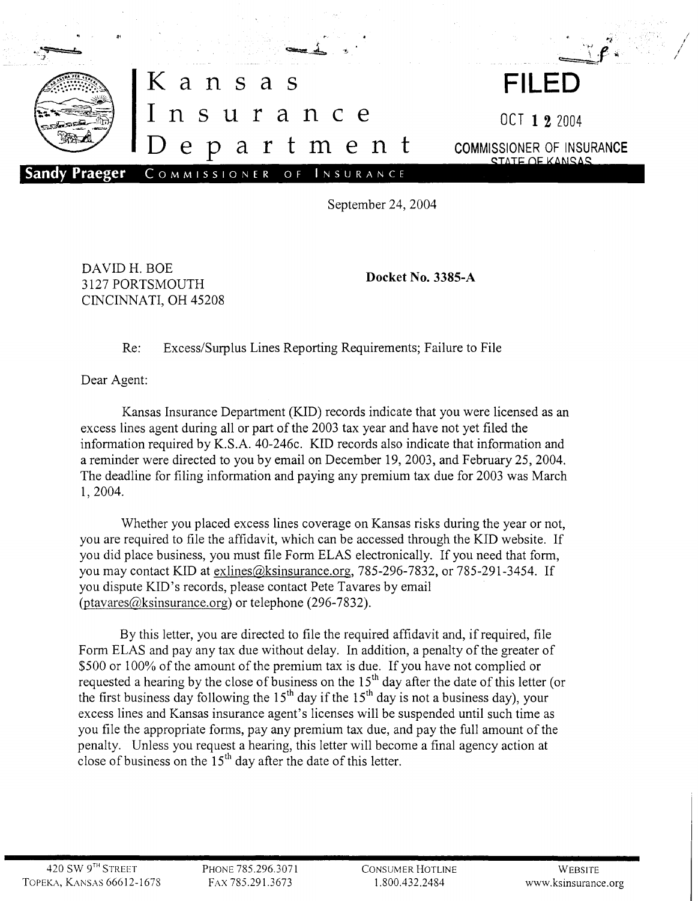

September 24, 2004

DAVIDH. BOE 3127 PORTSMOUTH CINCINNATI, OH 45208

Docket No. 3385-A

Re: Excess/Surplus Lines Reporting Requirements; Failure to File

Dear Agent:

Kansas Insurance Department (KID) records indicate that you were licensed as an excess lines agent during all or part of the 2003 tax year and have not yet filed the information required by K.S.A. 40-246c. KID records also indicate that information and a reminder were directed to you by email on December 19, 2003, and February 25,2004. The deadline for filing information and paying any premium tax due for 2003 was March 1,2004.

Whether you placed excess lines coverage on Kansas risks during the year or not, you are required to file the affidavit, which can be accessed through the KID website. If you did place business, you must file Form ELAS electronically. If you need that form, you may contact KID at exlines@ksinsurance.org, 785-296-7832, or 785-291-3454. If you dispute KID's records, please contact Pete Tavares by email (ptavares@ksinsurance.org) or telephone (296-7832).

By this letter, you are directed to file the required affidavit and, if required, file Form ELAS and pay any tax due without delay. In addition, a penalty of the greater of \$500 or 100% of the amount of the premium tax is due. If you have not complied or requested a hearing by the close of business on the  $15<sup>th</sup>$  day after the date of this letter (or the first business day following the  $15<sup>th</sup>$  day if the  $15<sup>th</sup>$  day is not a business day), your excess lines and Kansas insurance agent's licenses will be suspended until such time as you file the appropriate forms, pay any premium tax due, and pay the full amount of the penalty. Unless you request a hearing, this letter will become a final agency action at close of business on the  $15<sup>th</sup>$  day after the date of this letter.